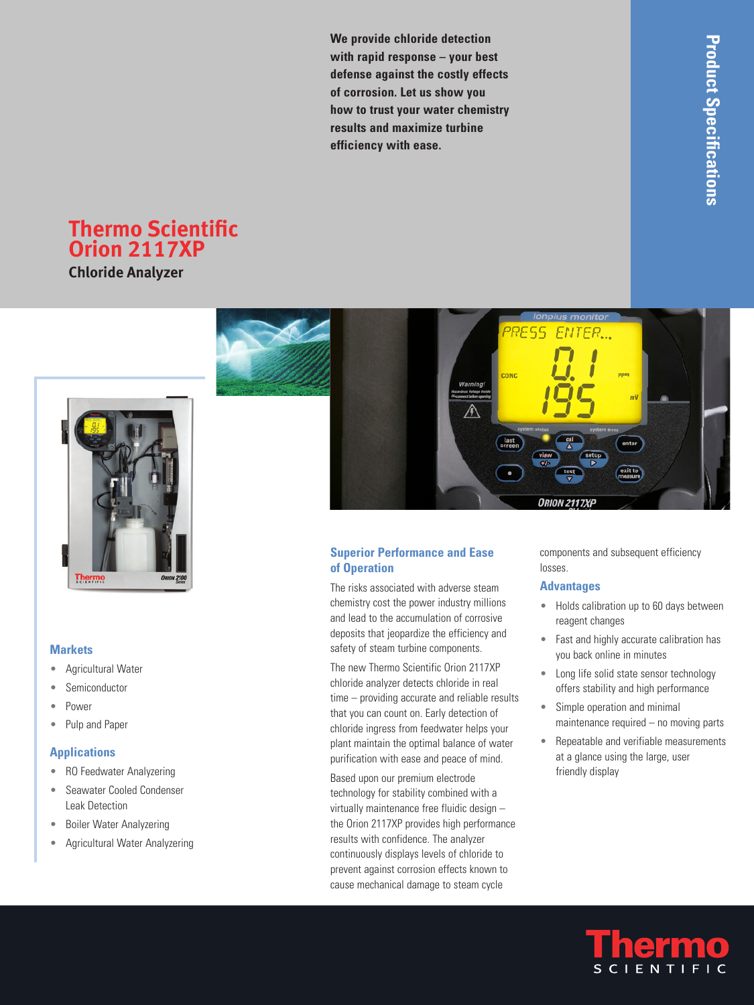**We provide chloride detection with rapid response – your best defense against the costly effects of corrosion. Let us show you how to trust your water chemistry results and maximize turbine efficiency with ease.**

# **Thermo Scientific Orion 2117XP**

**Chloride Analyzer**



#### **Markets**

- Agricultural Water •
- Semiconductor •
- Power •
- Pulp and Paper •

#### **Applications**

- RO Feedwater Analyzering
- Seawater Cooled Condenser Leak Detection •
- Boiler Water Analyzering •
- Agricultural Water Analyzering •



## **Superior Performance and Ease of Operation**

The risks associated with adverse steam chemistry cost the power industry millions and lead to the accumulation of corrosive deposits that jeopardize the efficiency and safety of steam turbine components.

The new Thermo Scientific Orion 2117XP chloride analyzer detects chloride in real time – providing accurate and reliable results that you can count on. Early detection of chloride ingress from feedwater helps your plant maintain the optimal balance of water purification with ease and peace of mind.

Based upon our premium electrode technology for stability combined with a virtually maintenance free fluidic design – the Orion 2117XP provides high performance results with confidence. The analyzer continuously displays levels of chloride to prevent against corrosion effects known to cause mechanical damage to steam cycle

components and subsequent efficiency losses.

### **Advantages**

- Holds calibration up to 60 days between reagent changes
- Fast and highly accurate calibration has you back online in minutes
- Long life solid state sensor technology offers stability and high performance
- Simple operation and minimal maintenance required – no moving parts •
- Repeatable and verifiable measurements at a glance using the large, user friendly display

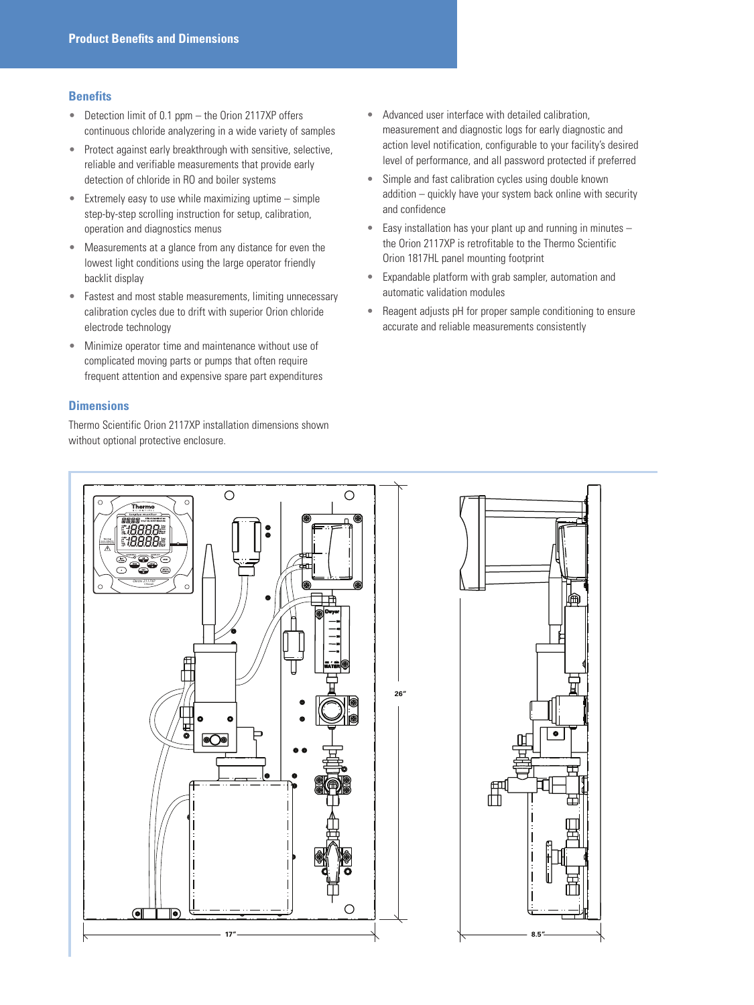#### **Benefits**

- Detection limit of 0.1 ppm the Orion 2117XP offers continuous chloride analyzering in a wide variety of samples •
- Protect against early breakthrough with sensitive, selective, reliable and verifiable measurements that provide early detection of chloride in RO and boiler systems •
- Extremely easy to use while maximizing uptime simple step-by-step scrolling instruction for setup, calibration, operation and diagnostics menus •
- Measurements at a glance from any distance for even the lowest light conditions using the large operator friendly backlit display  $\bullet$
- Fastest and most stable measurements, limiting unnecessary calibration cycles due to drift with superior Orion chloride electrode technology
- Minimize operator time and maintenance without use of complicated moving parts or pumps that often require frequent attention and expensive spare part expenditures •

#### **Dimensions**

Thermo Scientific Orion 2117XP installation dimensions shown without optional protective enclosure.

- Advanced user interface with detailed calibration, measurement and diagnostic logs for early diagnostic and action level notification, configurable to your facility's desired level of performance, and all password protected if preferred •
- Simple and fast calibration cycles using double known addition – quickly have your system back online with security and confidence •
- Easy installation has your plant up and running in minutes the Orion 2117XP is retrofitable to the Thermo Scientific Orion 1817HL panel mounting footprint •
- Expandable platform with grab sampler, automation and automatic validation modules
- Reagent adjusts pH for proper sample conditioning to ensure accurate and reliable measurements consistently  $\bullet$



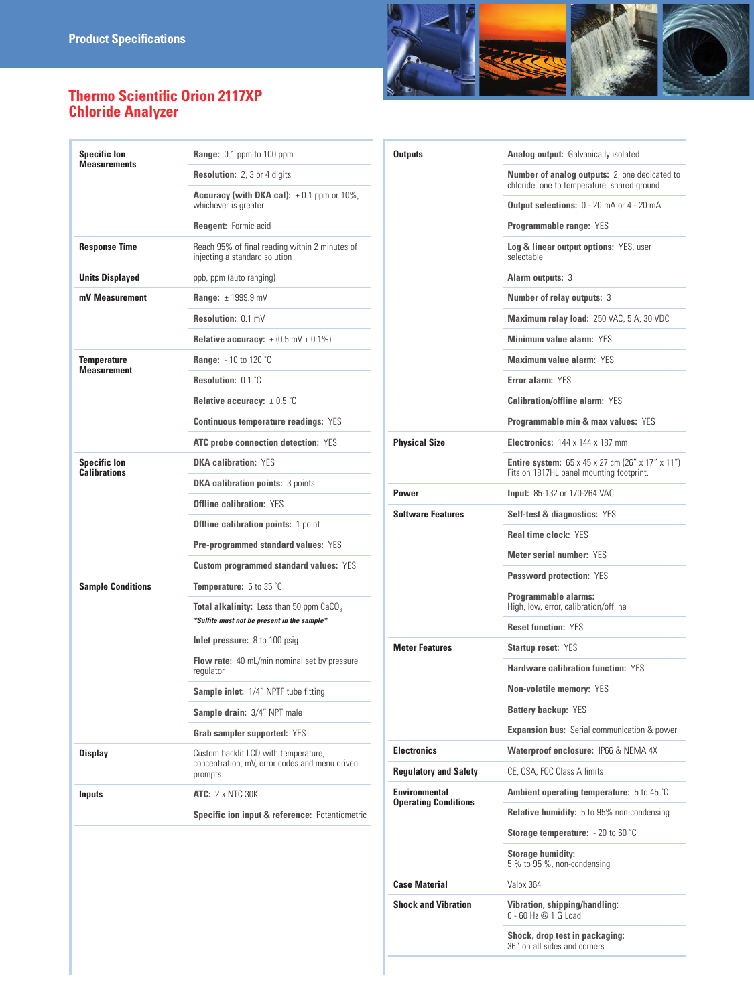

# **Thermo Scientific Orion 2117XP Chloride Analyzer**

| <b>Specific lon</b><br><b>Measurements</b> | Range: 0.1 ppm to 100 ppm                                                                         |
|--------------------------------------------|---------------------------------------------------------------------------------------------------|
|                                            | <b>Resolution: 2, 3 or 4 digits</b>                                                               |
|                                            | <b>Accuracy (with DKA cal):</b> $\pm$ 0.1 ppm or 10%,<br>whichever is greater                     |
|                                            | <b>Reagent:</b> Formic acid                                                                       |
| <b>Response Time</b>                       | Reach 95% of final reading within 2 minutes of<br>injecting a standard solution                   |
| <b>Units Displayed</b>                     | ppb, ppm (auto ranging)                                                                           |
| mV Measurement                             | Range: $\pm$ 1999.9 mV                                                                            |
|                                            | Resolution: 0.1 mV                                                                                |
|                                            | <b>Relative accuracy:</b> $\pm$ (0.5 mV + 0.1%)                                                   |
| Temperature                                | <b>Range:</b> $-10$ to 120 °C                                                                     |
| <b>Measurement</b>                         | Resolution: 0.1 °C                                                                                |
|                                            | <b>Relative accuracy:</b> $\pm$ 0.5 °C                                                            |
|                                            | <b>Continuous temperature readings: YES</b>                                                       |
|                                            | <b>ATC</b> probe connection detection: YES                                                        |
| <b>Specific lon</b>                        | <b>DKA calibration: YFS</b>                                                                       |
| <b>Calibrations</b>                        | <b>DKA calibration points: 3 points</b>                                                           |
|                                            | <b>Offline calibration: YES</b>                                                                   |
|                                            | <b>Offline calibration points: 1 point</b>                                                        |
|                                            | <b>Pre-programmed standard values: YES</b>                                                        |
|                                            | <b>Custom programmed standard values: YES</b>                                                     |
| <b>Sample Conditions</b>                   | <b>Temperature:</b> $5$ to $35$ $^{\circ}$ C                                                      |
|                                            | <b>Total alkalinity:</b> Less than 50 ppm $CaCO3$<br>*Sulfite must not be present in the sample*  |
|                                            | Inlet pressure: 8 to 100 psig                                                                     |
|                                            | <b>Flow rate:</b> 40 mL/min nominal set by pressure<br>regulator                                  |
|                                            | <b>Sample inlet:</b> 1/4" NPTF tube fitting                                                       |
|                                            | Sample drain: 3/4" NPT male                                                                       |
|                                            | <b>Grab sampler supported: YES</b>                                                                |
| Display                                    | Custom backlit LCD with temperature,<br>concentration, mV, error codes and menu driven<br>prompts |
| Inputs                                     | <b>ATC: 2 x NTC 30K</b>                                                                           |
|                                            | Specific ion input & reference: Potentiometric                                                    |

| <b>Outputs</b>               | <b>Analog output:</b> Galvanically isolated                                                                     |
|------------------------------|-----------------------------------------------------------------------------------------------------------------|
|                              | <b>Number of analog outputs:</b> 2, one dedicated to<br>chloride, one to temperature; shared ground             |
|                              | <b>Output selections:</b> 0 - 20 mA or 4 - 20 mA                                                                |
|                              | <b>Programmable range: YES</b>                                                                                  |
|                              | <b>Log &amp; linear output options: YES, user</b><br>selectable                                                 |
|                              | <b>Alarm outputs: 3</b>                                                                                         |
|                              | Number of relay outputs: 3                                                                                      |
|                              | Maximum relay load: 250 VAC, 5 A, 30 VDC                                                                        |
|                              | Minimum value alarm: YES                                                                                        |
|                              | Maximum value alarm: YES                                                                                        |
|                              | Error alarm: YES                                                                                                |
|                              | <b>Calibration/offline alarm: YES</b>                                                                           |
|                              | <b>Programmable min &amp; max values: YES</b>                                                                   |
| <b>Physical Size</b>         | <b>Electronics: 144 x 144 x 187 mm</b>                                                                          |
|                              | <b>Entire system:</b> $65 \times 45 \times 27$ cm (26" x 17" x 11")<br>Fits on 1817HL panel mounting footprint. |
| Power                        | <b>Input: 85-132 or 170-264 VAC</b>                                                                             |
| <b>Software Features</b>     | <b>Self-test &amp; diagnostics: YES</b>                                                                         |
|                              | <b>Real time clock: YES</b>                                                                                     |
|                              | Meter serial number: YES                                                                                        |
|                              | <b>Password protection: YES</b>                                                                                 |
|                              | Programmable alarms:<br>High, low, error, calibration/offline                                                   |
|                              | <b>Reset function: YES</b>                                                                                      |
| <b>Meter Features</b>        | <b>Startup reset: YES</b>                                                                                       |
|                              | <b>Hardware calibration function: YES</b>                                                                       |
|                              | <b>Non-volatile memory: YES</b>                                                                                 |
|                              | Battery backup: YES                                                                                             |
|                              | <b>Expansion bus:</b> Serial communication & power                                                              |
| <b>Electronics</b>           | <b>Waterproof enclosure: IP66 &amp; NEMA 4X</b>                                                                 |
|                              |                                                                                                                 |
| <b>Regulatory and Safety</b> | CE. CSA. FCC Class A limits                                                                                     |
| <b>Environmental</b>         | <b>Ambient operating temperature:</b> 5 to 45 $^{\circ}$ C                                                      |
| <b>Operating Conditions</b>  | <b>Relative humidity:</b> 5 to 95% non-condensing                                                               |
|                              | <b>Storage temperature:</b> $-20$ to 60 $^{\circ}$ C                                                            |
|                              | <b>Storage humidity:</b><br>5 % to 95 %, non-condensing                                                         |
| <b>Case Material</b>         | Valox 364                                                                                                       |
| <b>Shock and Vibration</b>   | <b>Vibration, shipping/handling:</b><br>0 - 60 Hz @ 1 G Load                                                    |